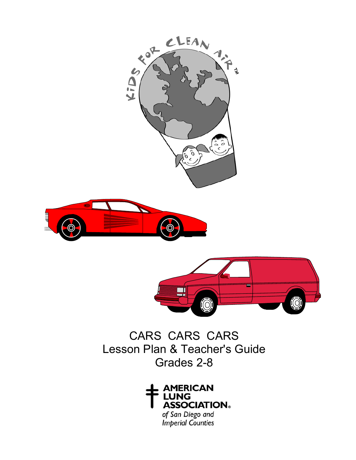





CARS CARS CARS Lesson Plan & Teacher's Guide Grades 2-8



of San Diego and<br>Imperial Counties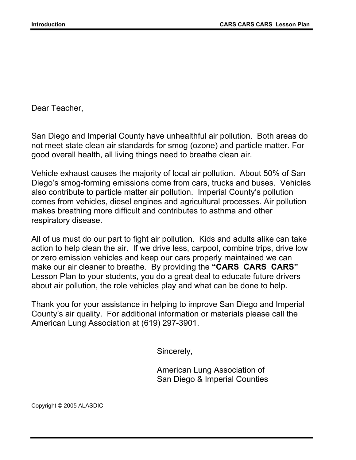Dear Teacher,

San Diego and Imperial County have unhealthful air pollution. Both areas do not meet state clean air standards for smog (ozone) and particle matter. For good overall health, all living things need to breathe clean air.

Vehicle exhaust causes the majority of local air pollution. About 50% of San Diego's smog-forming emissions come from cars, trucks and buses. Vehicles also contribute to particle matter air pollution. Imperial County's pollution comes from vehicles, diesel engines and agricultural processes. Air pollution makes breathing more difficult and contributes to asthma and other respiratory disease.

All of us must do our part to fight air pollution. Kids and adults alike can take action to help clean the air. If we drive less, carpool, combine trips, drive low or zero emission vehicles and keep our cars properly maintained we can make our air cleaner to breathe. By providing the **"CARS CARS CARS"** Lesson Plan to your students, you do a great deal to educate future drivers about air pollution, the role vehicles play and what can be done to help.

Thank you for your assistance in helping to improve San Diego and Imperial County's air quality. For additional information or materials please call the American Lung Association at (619) 297-3901.

Sincerely,

American Lung Association of San Diego & Imperial Counties

Copyright © 2005 ALASDIC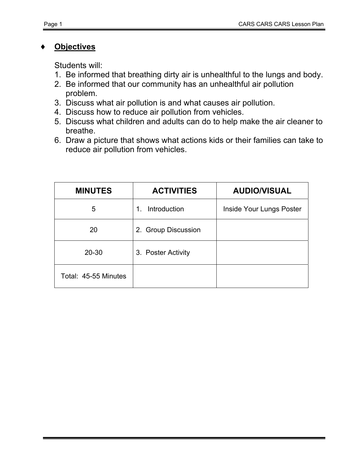## **Objectives**

Students will:

- 1. Be informed that breathing dirty air is unhealthful to the lungs and body.
- 2. Be informed that our community has an unhealthful air pollution problem.
- 3. Discuss what air pollution is and what causes air pollution.
- 4. Discuss how to reduce air pollution from vehicles.
- 5. Discuss what children and adults can do to help make the air cleaner to breathe.
- 6. Draw a picture that shows what actions kids or their families can take to reduce air pollution from vehicles.

| <b>MINUTES</b>       | <b>ACTIVITIES</b>   | <b>AUDIO/VISUAL</b>      |  |
|----------------------|---------------------|--------------------------|--|
| 5                    | Introduction<br>1.  | Inside Your Lungs Poster |  |
| 20                   | 2. Group Discussion |                          |  |
| $20 - 30$            | 3. Poster Activity  |                          |  |
| Total: 45-55 Minutes |                     |                          |  |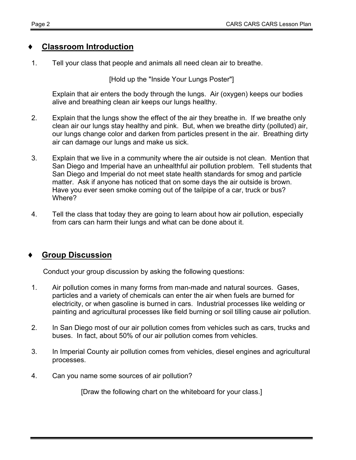### **Classroom Introduction**

1. Tell your class that people and animals all need clean air to breathe.

[Hold up the "Inside Your Lungs Poster"]

Explain that air enters the body through the lungs. Air (oxygen) keeps our bodies alive and breathing clean air keeps our lungs healthy.

- 2. Explain that the lungs show the effect of the air they breathe in. If we breathe only clean air our lungs stay healthy and pink. But, when we breathe dirty (polluted) air, our lungs change color and darken from particles present in the air. Breathing dirty air can damage our lungs and make us sick.
- 3. Explain that we live in a community where the air outside is not clean. Mention that San Diego and Imperial have an unhealthful air pollution problem. Tell students that San Diego and Imperial do not meet state health standards for smog and particle matter. Ask if anyone has noticed that on some days the air outside is brown. Have you ever seen smoke coming out of the tailpipe of a car, truck or bus? Where?
- 4. Tell the class that today they are going to learn about how air pollution, especially from cars can harm their lungs and what can be done about it.

# **Group Discussion**

Conduct your group discussion by asking the following questions:

- 1. Air pollution comes in many forms from man-made and natural sources. Gases, particles and a variety of chemicals can enter the air when fuels are burned for electricity, or when gasoline is burned in cars. Industrial processes like welding or painting and agricultural processes like field burning or soil tilling cause air pollution.
- 2. In San Diego most of our air pollution comes from vehicles such as cars, trucks and buses. In fact, about 50% of our air pollution comes from vehicles.
- 3. In Imperial County air pollution comes from vehicles, diesel engines and agricultural processes.
- 4. Can you name some sources of air pollution?

[Draw the following chart on the whiteboard for your class.]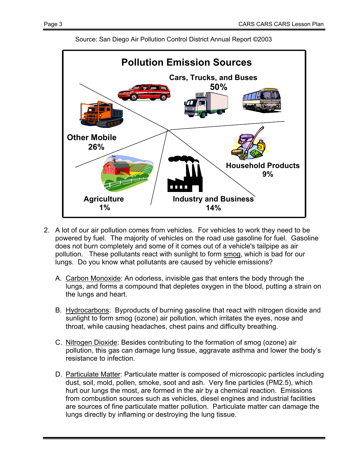

Source: San Diego Air Pollution Control District Annual Report ©2003

- 2. A lot of our air pollution comes from vehicles. For vehicles to work they need to be powered by fuel. The majority of vehicles on the road use gasoline for fuel. Gasoline does not burn completely and some of it comes out of a vehicle's tailpipe as air pollution. These pollutants react with sunlight to form smog, which is bad for our lungs. Do you know what pollutants are caused by vehicle emissions?
	- A. Carbon Monoxide: An odorless, invisible gas that enters the body through the lungs, and forms a compound that depletes oxygen in the blood, putting a strain on the lungs and heart.
	- B. Hydrocarbons: Byproducts of burning gasoline that react with nitrogen dioxide and sunlight to form smog (ozone) air pollution, which irritates the eyes, nose and throat, while causing headaches, chest pains and difficulty breathing.
	- C. Nitrogen Dioxide: Besides contributing to the formation of smog (ozone) air pollution, this gas can damage lung tissue, aggravate asthma and lower the body's resistance to infection.
	- D. Particulate Matter: Particulate matter is composed of microscopic particles including dust, soil, mold, pollen, smoke, soot and ash. Very fine particles (PM2.5), which hurt our lungs the most, are formed in the air by a chemical reaction. Emissions from combustion sources such as vehicles, diesel engines and industrial facilities are sources of fine particulate matter pollution. Particulate matter can damage the lungs directly by inflaming or destroying the lung tissue.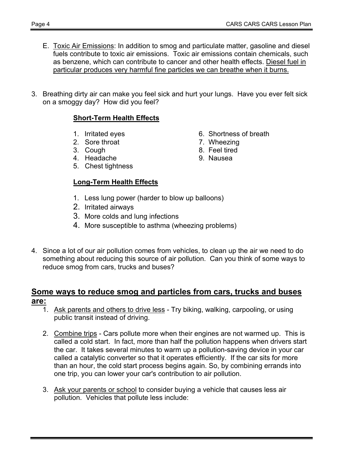- E. Toxic Air Emissions: In addition to smog and particulate matter, gasoline and diesel fuels contribute to toxic air emissions. Toxic air emissions contain chemicals, such as benzene, which can contribute to cancer and other health effects. Diesel fuel in particular produces very harmful fine particles we can breathe when it burns.
- 3. Breathing dirty air can make you feel sick and hurt your lungs. Have you ever felt sick on a smoggy day? How did you feel?

#### **Short-Term Health Effects**

- 
- 2. Sore throat 7. Wheezing
- 
- 4. Headache 9. Nausea
- 5. Chest tightness

#### **Long-Term Health Effects**

- 1. Irritated eyes 6. Shortness of breath
	-
- 3. Cough 8. Feel tired
	-
- 1. Less lung power (harder to blow up balloons)
- 2. Irritated airways
- 3. More colds and lung infections
- 4. More susceptible to asthma (wheezing problems)
- 4. Since a lot of our air pollution comes from vehicles, to clean up the air we need to do something about reducing this source of air pollution. Can you think of some ways to reduce smog from cars, trucks and buses?

#### **Some ways to reduce smog and particles from cars, trucks and buses are:**

- 1. Ask parents and others to drive less Try biking, walking, carpooling, or using public transit instead of driving.
- 2. Combine trips Cars pollute more when their engines are not warmed up. This is called a cold start. In fact, more than half the pollution happens when drivers start the car. It takes several minutes to warm up a pollution-saving device in your car called a catalytic converter so that it operates efficiently. If the car sits for more than an hour, the cold start process begins again. So, by combining errands into one trip, you can lower your car's contribution to air pollution.
- 3. Ask your parents or school to consider buying a vehicle that causes less air pollution. Vehicles that pollute less include: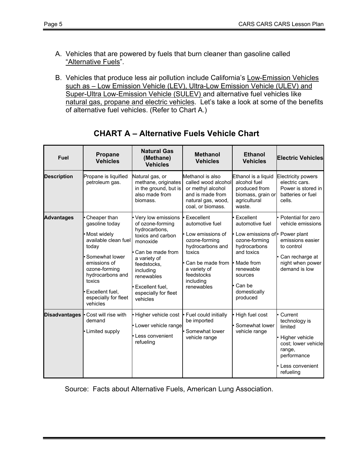- A. Vehicles that are powered by fuels that burn cleaner than gasoline called "Alternative Fuels".
- B. Vehicles that produce less air pollution include California's Low-Emission Vehicles such as – Low Emission Vehicle (LEV), Ultra-Low Emission Vehicle (ULEV) and Super-Ultra Low-Emission Vehicle (SULEV) and alternative fuel vehicles like natural gas, propane and electric vehicles. Let's take a look at some of the benefits of alternative fuel vehicles. (Refer to Chart A.)

| <b>Fuel</b>          | Propane<br><b>Vehicles</b>                                                                                                                                                                                               | <b>Natural Gas</b><br>(Methane)<br><b>Vehicles</b>                                                                                                                                                                            | <b>Methanol</b><br><b>Vehicles</b>                                                                                                                                            | <b>Ethanol</b><br><b>Vehicles</b>                                                                                                                                                              | <b>Electric Vehicles</b>                                                                                                              |
|----------------------|--------------------------------------------------------------------------------------------------------------------------------------------------------------------------------------------------------------------------|-------------------------------------------------------------------------------------------------------------------------------------------------------------------------------------------------------------------------------|-------------------------------------------------------------------------------------------------------------------------------------------------------------------------------|------------------------------------------------------------------------------------------------------------------------------------------------------------------------------------------------|---------------------------------------------------------------------------------------------------------------------------------------|
| <b>Description</b>   | Propane is liquified<br>petroleum gas.                                                                                                                                                                                   | Natural gas, or<br>methane, originates<br>in the ground, but is<br>also made from<br>biomass.                                                                                                                                 | Methanol is also<br>called wood alcohol<br>or methyl alcohol<br>and is made from<br>natural gas, wood,<br>coal, or biomass.                                                   | Ethanol is a liquid<br>alcohol fuel<br>produced from<br>biomass, grain or<br>agricultural<br>waste.                                                                                            | <b>Electricity powers</b><br>electric cars.<br>Power is stored in<br>batteries or fuel<br>cells.                                      |
| <b>Advantages</b>    | • Cheaper than<br>gasoline today<br>Most widely<br>available clean fuel<br>today<br>Somewhat lower<br>emissions of<br>ozone-forming<br>hydrocarbons and<br>toxics<br>Excellent fuel,<br>especially for fleet<br>vehicles | Very low emissions<br>of ozone-forming<br>hydrocarbons,<br>toxics and carbon<br>monoxide<br>Can be made from<br>a variety of<br>feedstocks.<br>including<br>renewables<br>Excellent fuel,<br>especially for fleet<br>vehicles | Execellent<br>automotive fuel<br>Low emissions of<br>ozone-forming<br>hydrocarbons and<br>toxics<br>Can be made from<br>a variety of<br>feedstocks<br>including<br>renewables | • Excellent<br>automotive fuel<br>• Low emissions of • Power plant<br>ozone-forming<br>hydrocarbons<br>and toxics<br>• Made from<br>renewable<br>sources<br>Can be<br>domestically<br>produced | Potential for zero<br>vehicle emissions<br>emissions easier<br>to control<br>Can recharge at<br>night when power<br>demand is low     |
| <b>Disadvantages</b> | Cost will rise with<br>demand<br>• Limited supply                                                                                                                                                                        | Higher vehicle cost<br>• Lower vehicle range<br>Less convenient<br>refueling                                                                                                                                                  | Fuel could initially<br>be imported<br>Somewhat lower<br>vehicle range                                                                                                        | High fuel cost<br>• Somewhat lower<br>vehicle range                                                                                                                                            | Current<br>technology is<br>limited<br>Higher vehicle<br>cost; lower vehicle<br>range,<br>performance<br>Less convenient<br>refueling |

# **CHART A – Alternative Fuels Vehicle Chart**

Source: Facts about Alternative Fuels, American Lung Association.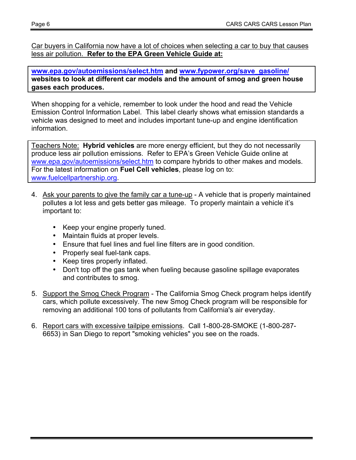Car buyers in California now have a lot of choices when selecting a car to buy that causes less air pollution. **Refer to the EPA Green Vehicle Guide at:**

**www.epa.gov/autoemissions/select.htm and www.fypower.org/save\_gasoline/ websites to look at different car models and the amount of smog and green house gases each produces.**

When shopping for a vehicle, remember to look under the hood and read the Vehicle Emission Control Information Label. This label clearly shows what emission standards a vehicle was designed to meet and includes important tune-up and engine identification information.

Teachers Note: **Hybrid vehicles** are more energy efficient, but they do not necessarily produce less air pollution emissions. Refer to EPA's Green Vehicle Guide online at www.epa.gov/autoemissions/select.htm to compare hybrids to other makes and models. For the latest information on **Fuel Cell vehicles**, please log on to: www.fuelcellpartnership.org.

- 4. Ask your parents to give the family car a tune-up A vehicle that is properly maintained pollutes a lot less and gets better gas mileage. To properly maintain a vehicle it's important to:
	- Keep your engine properly tuned.
	- Maintain fluids at proper levels.
	- Ensure that fuel lines and fuel line filters are in good condition.
	- Properly seal fuel-tank caps.
	- Keep tires properly inflated.
	- Don't top off the gas tank when fueling because gasoline spillage evaporates and contributes to smog.
- 5. Support the Smog Check Program The California Smog Check program helps identify cars, which pollute excessively. The new Smog Check program will be responsible for removing an additional 100 tons of pollutants from California's air everyday.
- 6. Report cars with excessive tailpipe emissions. Call 1-800-28-SMOKE (1-800-287- 6653) in San Diego to report "smoking vehicles" you see on the roads.